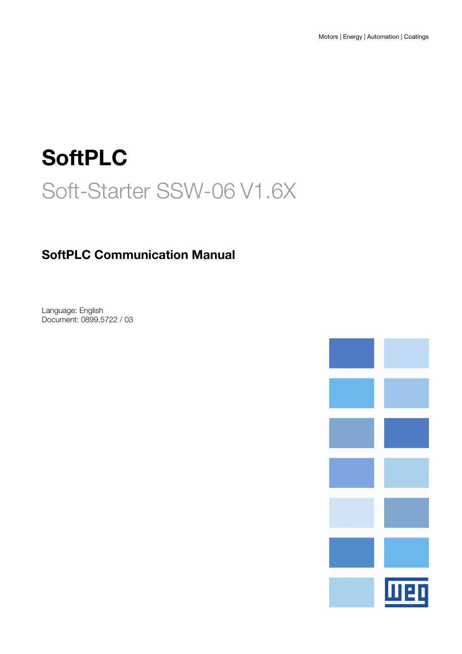# SoftPLC Soft-Starter SSW-06 V1.6X

## SoftPLC Communication Manual

Language: English Document: 0899.5722 / 03

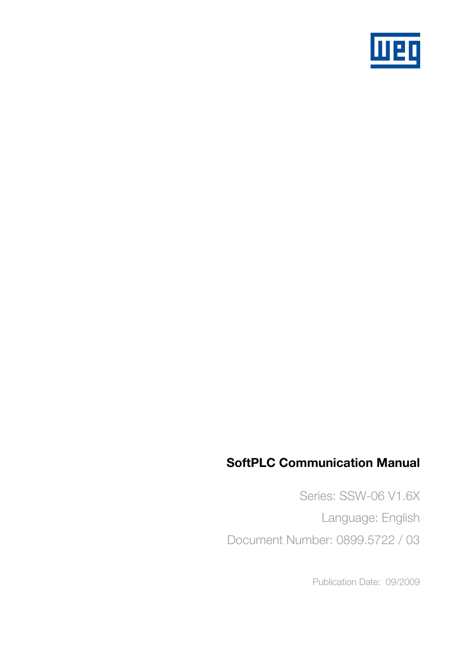

## SoftPLC Communication Manual

Series: SSW-06 V1.6X Language: English Document Number: 0899.5722 / 03

Publication Date: 09/2009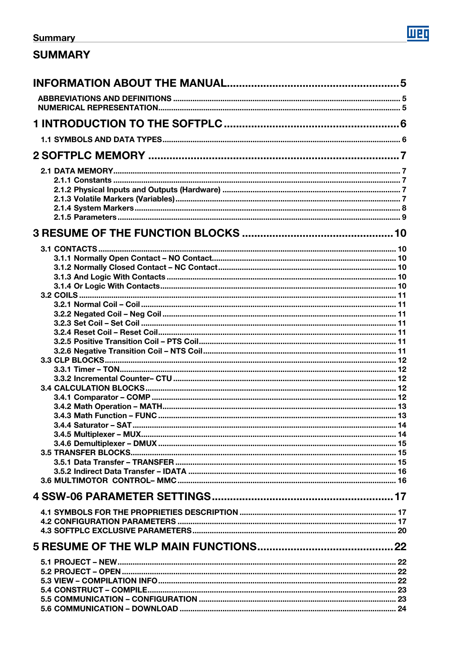# $\overline{\text{m}}$

## **Summary**

## **SUMMARY**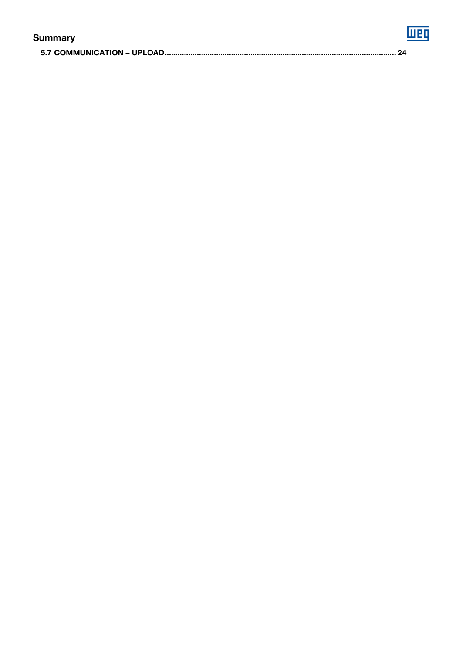| Summary |  |
|---------|--|
|         |  |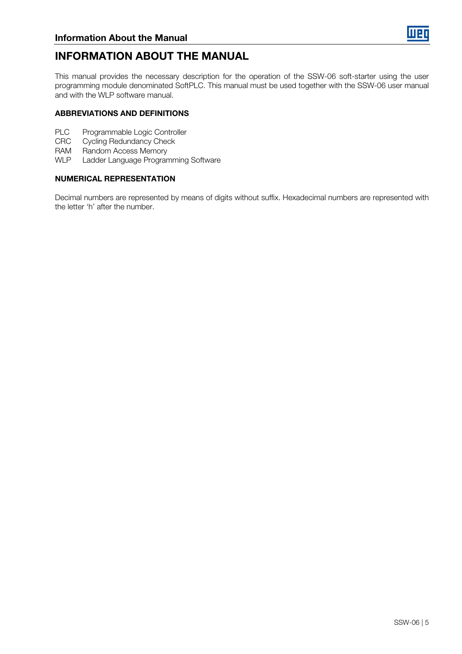

## INFORMATION ABOUT THE MANUAL

This manual provides the necessary description for the operation of the SSW-06 soft-starter using the user programming module denominated SoftPLC. This manual must be used together with the SSW-06 user manual and with the WLP software manual.

#### ABBREVIATIONS AND DEFINITIONS

- PLC Programmable Logic Controller
- CRC Cycling Redundancy Check
- RAM Random Access Memory<br>WLP Ladder Language Progran
- Ladder Language Programming Software

#### NUMERICAL REPRESENTATION

Decimal numbers are represented by means of digits without suffix. Hexadecimal numbers are represented with the letter 'h' after the number.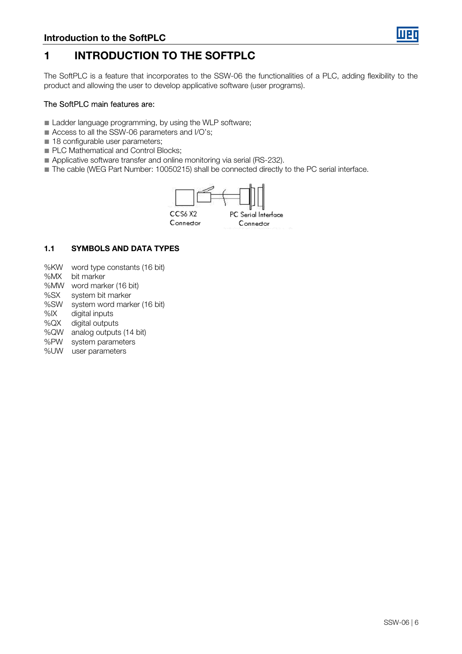

## 1 INTRODUCTION TO THE SOFTPLC

The SoftPLC is a feature that incorporates to the SSW-06 the functionalities of a PLC, adding flexibility to the product and allowing the user to develop applicative software (user programs).

#### The SoftPLC main features are:

- Ladder language programming, by using the WLP software;
- Access to all the SSW-06 parameters and I/O's;
- 18 configurable user parameters:
- PLC Mathematical and Control Blocks;
- Applicative software transfer and online monitoring via serial (RS-232).
- The cable (WEG Part Number: 10050215) shall be connected directly to the PC serial interface.



#### 1.1 SYMBOLS AND DATA TYPES

- %KW word type constants (16 bit)
- %MX bit marker
- %MW word marker (16 bit)
- %SX system bit marker
- %SW system word marker (16 bit)
- %IX digital inputs
- %QX digital outputs
- %QW analog outputs (14 bit)
- %PW system parameters
- %UW user parameters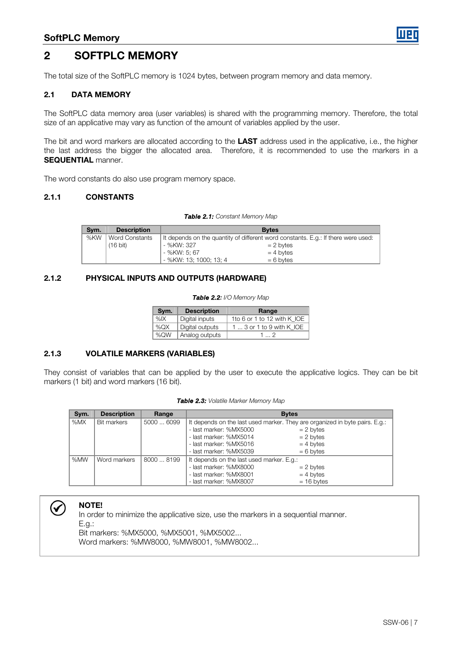

## 2 SOFTPLC MEMORY

The total size of the SoftPLC memory is 1024 bytes, between program memory and data memory.

#### 2.1 DATA MEMORY

The SoftPLC data memory area (user variables) is shared with the programming memory. Therefore, the total size of an applicative may vary as function of the amount of variables applied by the user.

The bit and word markers are allocated according to the **LAST** address used in the applicative, i.e., the higher the last address the bigger the allocated area. Therefore, it is recommended to use the markers in a SEQUENTIAL manner.

The word constants do also use program memory space.

#### 2.1.1 CONSTANTS

|  |  | Table 2.1: Constant Memory Map |  |
|--|--|--------------------------------|--|
|  |  |                                |  |

| Svm. | <b>Description</b>    | <b>Bytes</b>                                                                      |  |
|------|-----------------------|-----------------------------------------------------------------------------------|--|
| %KW  | <b>Word Constants</b> | It depends on the quantity of different word constants. E.g.: If there were used: |  |
|      | $(16 \text{ bit})$    | - %KW: 327<br>$= 2$ bytes                                                         |  |
|      |                       | - %KW: 5: 67<br>$= 4$ bytes                                                       |  |
|      |                       | - %KW: 13; 1000; 13; 4<br>$= 6$ bytes                                             |  |

#### 2.1.2 PHYSICAL INPUTS AND OUTPUTS (HARDWARE)

|  | <b>Table 2.2:</b> I/O Memory Map |  |
|--|----------------------------------|--|
|--|----------------------------------|--|

| Sym. | <b>Description</b> | Range                       |
|------|--------------------|-----------------------------|
| %IX  | Digital inputs     | 1to 6 or 1 to 12 with K IOE |
| %QX  | Digital outputs    | $13$ or 1 to 9 with K IOE   |
| %QW  | Analog outputs     | 1 2                         |

#### 2.1.3 VOLATILE MARKERS (VARIABLES)

They consist of variables that can be applied by the user to execute the applicative logics. They can be bit markers (1 bit) and word markers (16 bit).

| Sym. | <b>Description</b> | Range      | <b>Bytes</b>                                                                |              |
|------|--------------------|------------|-----------------------------------------------------------------------------|--------------|
| %MX  | Bit markers        | 5000  6099 | It depends on the last used marker. They are organized in byte pairs. E.g.: |              |
|      |                    |            | - last marker: %MX5000                                                      | $= 2$ bytes  |
|      |                    |            | - last marker: %MX5014                                                      | $= 2$ bytes  |
|      |                    |            | - last marker: %MX5016                                                      | $= 4$ bytes  |
|      |                    |            | - last marker: %MX5039                                                      | $= 6$ bytes  |
| %MW  | Word markers       | 8000  8199 | It depends on the last used marker. E.g.:                                   |              |
|      |                    |            | - last marker: %MX8000                                                      | $= 2$ bytes  |
|      |                    |            | - last marker: %MX8001                                                      | $= 4$ bytes  |
|      |                    |            | - last marker: %MX8007                                                      | $= 16$ bytes |

#### Table 2.3: Volatile Marker Memory Map



In order to minimize the applicative size, use the markers in a sequential manner. E.g.: Bit markers: %MX5000, %MX5001, %MX5002... Word markers: %MW8000, %MW8001, %MW8002...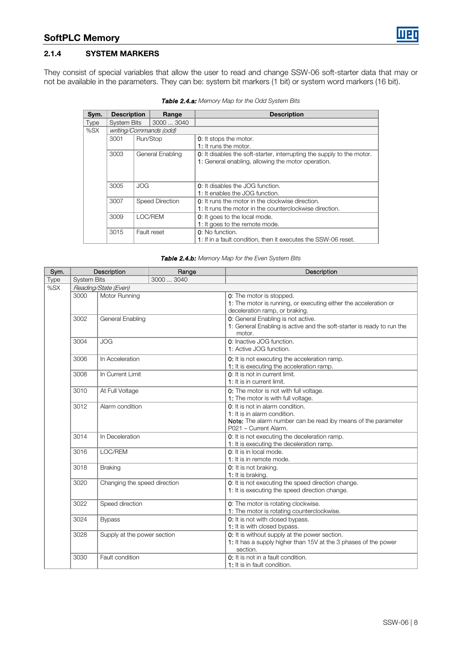#### 2.1.4 SYSTEM MARKERS

They consist of special variables that allow the user to read and change SSW-06 soft-starter data that may or not be available in the parameters. They can be: system bit markers (1 bit) or system word markers (16 bit).

| Sym.                                              | <b>Description</b>                       |             | Range                                                                                                               | <b>Description</b>                                                                                                                  |
|---------------------------------------------------|------------------------------------------|-------------|---------------------------------------------------------------------------------------------------------------------|-------------------------------------------------------------------------------------------------------------------------------------|
| <b>Type</b>                                       | <b>System Bits</b>                       | 3000  3040  |                                                                                                                     |                                                                                                                                     |
| %SX                                               |                                          |             | writing/Commands (odd)                                                                                              |                                                                                                                                     |
|                                                   | 3001                                     | Run/Stop    |                                                                                                                     | <b>0</b> : It stops the motor.<br>1: It runs the motor.                                                                             |
|                                                   | 3003<br>General Enabling<br>JOG.<br>3005 |             |                                                                                                                     | <b>0:</b> It disables the soft-starter, interrupting the supply to the motor.<br>1: General enabling, allowing the motor operation. |
|                                                   |                                          |             |                                                                                                                     | <b>0</b> : It disables the JOG function.<br>1: It enables the JOG function.                                                         |
| 3007<br><b>Speed Direction</b><br>3009<br>LOC/REM |                                          |             | <b>0</b> : It runs the motor in the clockwise direction.<br>1: It runs the motor in the counterclockwise direction. |                                                                                                                                     |
|                                                   |                                          |             | <b>0</b> : It goes to the local mode.<br>1: It goes to the remote mode.                                             |                                                                                                                                     |
|                                                   | 3015                                     | Fault reset |                                                                                                                     | 0: No function.<br>1: If in a fault condition, then it executes the SSW-06 reset.                                                   |

Table 2.4.a: Memory Map for the Odd System Bits

|  | Table 2.4.b: Memory Map for the Even System Bits |  |  |  |
|--|--------------------------------------------------|--|--|--|
|  |                                                  |  |  |  |

| Sym.                                               | Description                                |                             | Range                                                                                                                                                      | Description                                                                                                                    |
|----------------------------------------------------|--------------------------------------------|-----------------------------|------------------------------------------------------------------------------------------------------------------------------------------------------------|--------------------------------------------------------------------------------------------------------------------------------|
| <b>Type</b>                                        | <b>System Bits</b>                         |                             | 3000  3040                                                                                                                                                 |                                                                                                                                |
| %SX                                                | Reading/State (Even)                       |                             |                                                                                                                                                            |                                                                                                                                |
|                                                    | 3000                                       | Motor Running               |                                                                                                                                                            | 0: The motor is stopped.<br>1: The motor is running, or executing either the acceleration or<br>deceleration ramp, or braking. |
|                                                    | 3002                                       | General Enabling            |                                                                                                                                                            | 0: General Enabling is not active.<br>1: General Enabling is active and the soft-starter is ready to run the<br>motor.         |
|                                                    | 3004                                       | <b>JOG</b>                  |                                                                                                                                                            | 0: Inactive JOG function.<br>1: Active JOG function.                                                                           |
|                                                    | 3006                                       | In Acceleration             |                                                                                                                                                            | 0: It is not executing the acceleration ramp.<br>1: It is executing the acceleration ramp.                                     |
|                                                    | 3008                                       | In Current Limit            |                                                                                                                                                            | 0: It is not in current limit.<br>1: It is in current limit.                                                                   |
| 3010<br>At Full Voltage<br>3012<br>Alarm condition |                                            |                             |                                                                                                                                                            | 0: The motor is not with full voltage.<br>1: The motor is with full voltage.                                                   |
|                                                    |                                            |                             | 0: It is not in alarm condition.<br>1: It is in alarm condition.<br>Note: The alarm number can be read iby means of the parameter<br>P021 - Current Alarm. |                                                                                                                                |
|                                                    | 3014<br>In Deceleration<br>LOC/REM<br>3016 |                             |                                                                                                                                                            | 0: It is not executing the deceleration ramp.<br>1: It is executing the deceleration ramp.                                     |
|                                                    |                                            |                             |                                                                                                                                                            | 0: It is in local mode.<br>1: It is in remote mode.                                                                            |
|                                                    | 3018                                       | <b>Braking</b>              |                                                                                                                                                            | 0: It is not braking.<br>1: It is braking.                                                                                     |
|                                                    | 3020<br>Changing the speed direction       |                             |                                                                                                                                                            | 0: It is not executing the speed direction change.<br>1: It is executing the speed direction change.                           |
|                                                    | 3022                                       | Speed direction             |                                                                                                                                                            | 0: The motor is rotating clockwise.<br>1: The motor is rotating counterclockwise.                                              |
|                                                    | 3024                                       | <b>Bypass</b>               |                                                                                                                                                            | 0: It is not with closed bypass.<br>1: It is with closed bypass.                                                               |
|                                                    | 3028                                       | Supply at the power section |                                                                                                                                                            | 0: It is without supply at the power section.<br>1: It has a supply higher than 15V at the 3 phases of the power<br>section.   |
|                                                    | 3030                                       | Fault condition             |                                                                                                                                                            | 0: It is not in a fault condition.<br>1: It is in fault condition.                                                             |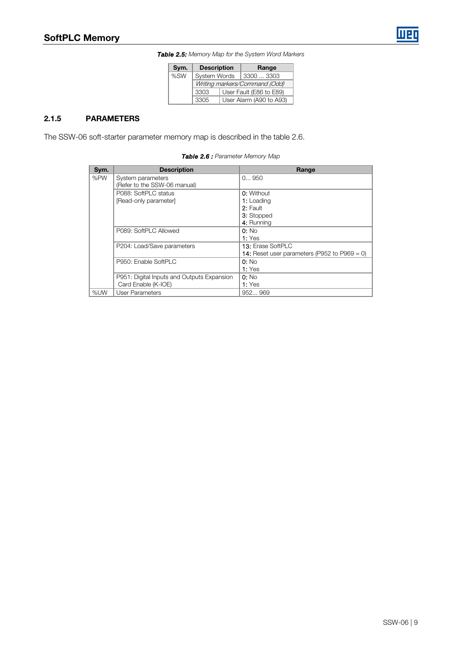Table 2.5: Memory Map for the System Word Markers

| Sym. | <b>Description</b>            |  | Range                   |
|------|-------------------------------|--|-------------------------|
| %SW  | System Words                  |  | 3300  3303              |
|      | Writing markers/Command (Odd) |  |                         |
|      | 3303                          |  | User Fault (E86 to E89) |
|      | 3305                          |  | User Alarm (A90 to A93) |

#### 2.1.5 PARAMETERS

The SSW-06 soft-starter parameter memory map is described in the table 2.6.

Table 2.6 : Parameter Memory Map

| Sym. | <b>Description</b>                         | Range                                               |
|------|--------------------------------------------|-----------------------------------------------------|
| %PW  | System parameters                          | 0950                                                |
|      | (Refer to the SSW-06 manual)               |                                                     |
|      | P088: SoftPLC status                       | <b>0:</b> Without                                   |
|      | [Read-only parameter]                      | 1: Loading                                          |
|      |                                            | 2: Fault                                            |
|      |                                            | 3: Stopped                                          |
|      |                                            | 4: Running                                          |
|      | P089: SoftPLC Allowed                      | $0:$ No                                             |
|      |                                            | 1: Yes                                              |
|      | P204: Load/Save parameters                 | <b>13: Erase SoftPLC</b>                            |
|      |                                            | <b>14:</b> Reset user parameters (P952 to P969 = 0) |
|      | P950: Enable SoftPLC                       | $0:$ No                                             |
|      |                                            | 1: Yes                                              |
|      | P951: Digital Inputs and Outputs Expansion | $0:$ No                                             |
|      | Card Enable (K-IOE)                        | 1: Yes                                              |
| %UW  | User Parameters                            | 952969                                              |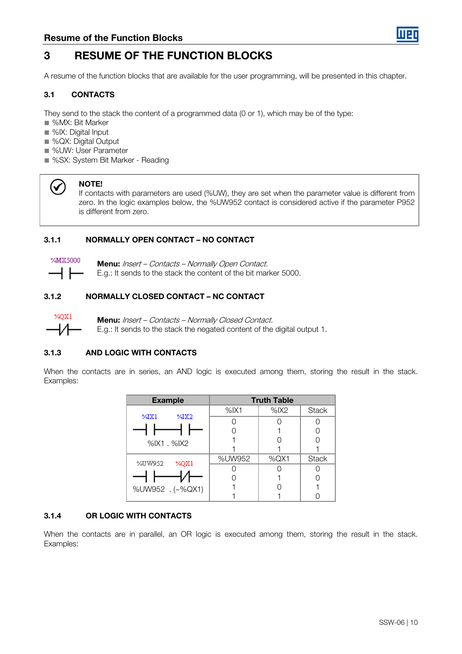

## 3 RESUME OF THE FUNCTION BLOCKS

A resume of the function blocks that are available for the user programming, will be presented in this chapter.

#### 3.1 CONTACTS

They send to the stack the content of a programmed data (0 or 1), which may be of the type:

- %MX: Bit Marker
- %IX: Digital Input
- %QX: Digital Output
- %UW: User Parameter
- %SX: System Bit Marker Reading



#### NOTE!

If contacts with parameters are used (%UW), they are set when the parameter value is different from zero. In the logic examples below, the %UW952 contact is considered active if the parameter P952 is different from zero.

#### 3.1.1 NORMALLY OPEN CONTACT – NO CONTACT



Menu: Insert – Contacts – Normally Open Contact. E.g.: It sends to the stack the content of the bit marker 5000.

#### 3.1.2 NORMALLY CLOSED CONTACT – NC CONTACT



Menu: Insert – Contacts – Normally Closed Contact. E.g.: It sends to the stack the negated content of the digital output 1.

#### 3.1.3 AND LOGIC WITH CONTACTS

When the contacts are in series, an AND logic is executed among them, storing the result in the stack. Examples:

| <b>Example</b>   |         | <b>Truth Table</b> |              |
|------------------|---------|--------------------|--------------|
|                  | $%$ IX1 | $%$ IX2            | <b>Stack</b> |
| 94X2<br>%IX1     |         |                    |              |
|                  |         |                    |              |
| $%$ IX1. $%$ IX2 |         |                    |              |
|                  |         |                    |              |
| %UW952           | %UW952  | $%$ QX1            | <b>Stack</b> |
| %QX1             |         |                    |              |
|                  |         |                    |              |
| %UW952 . (~%QX1) |         |                    |              |
|                  |         |                    |              |

#### 3.1.4 OR LOGIC WITH CONTACTS

When the contacts are in parallel, an OR logic is executed among them, storing the result in the stack. Examples: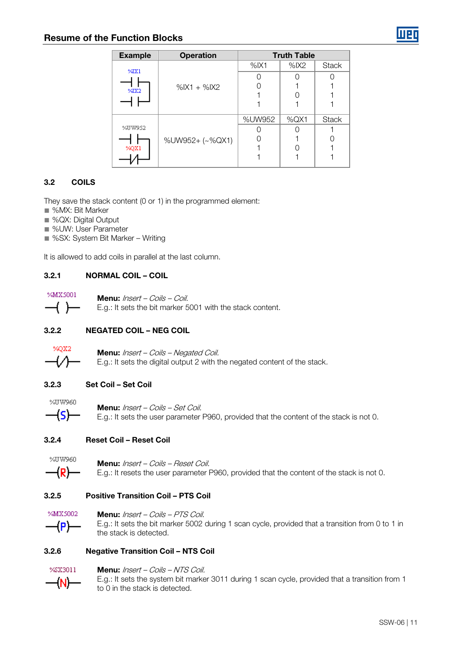#### Resume of the Function Blocks

| <b>Example</b>   | <b>Operation</b>  |         | <b>Truth Table</b> |              |
|------------------|-------------------|---------|--------------------|--------------|
| %IX1             |                   | $%$ IX1 | $%$ IX2            | <b>Stack</b> |
|                  |                   |         |                    |              |
| $\frac{9}{4}$ X2 | $%$ IX1 + $%$ IX2 |         |                    |              |
|                  |                   |         |                    |              |
|                  |                   |         |                    |              |
|                  |                   | %UW952  | %QX1               | <b>Stack</b> |
| %UW952           |                   |         |                    |              |
|                  | %UW952+ (~%QX1)   |         |                    |              |
| %QX1             |                   |         |                    |              |
|                  |                   |         |                    |              |

#### 3.2 COILS

They save the stack content (0 or 1) in the programmed element:

- %MX: Bit Marker
- %QX: Digital Output
- %UW: User Parameter
- %SX: System Bit Marker Writing

It is allowed to add coils in parallel at the last column.

#### 3.2.1 NORMAL COIL – COIL



Menu: Insert – Coils – Coil. E.g.: It sets the bit marker 5001 with the stack content.

#### 3.2.2 NEGATED COIL – NEG COIL



Menu: Insert – Coils – Negated Coil. E.g.: It sets the digital output 2 with the negated content of the stack.

#### 3.2.3 Set Coil – Set Coil



Menu: Insert – Coils – Set Coil. E.g.: It sets the user parameter P960, provided that the content of the stack is not 0.

#### 3.2.4 Reset Coil – Reset Coil



Menu: Insert – Coils – Reset Coil. E.g.: It resets the user parameter P960, provided that the content of the stack is not 0.

#### 3.2.5 Positive Transition Coil – PTS Coil



Menu: Insert – Coils – PTS Coil. E.g.: It sets the bit marker 5002 during 1 scan cycle, provided that a transition from 0 to 1 in the stack is detected.

#### 3.2.6 Negative Transition Coil – NTS Coil



#### Menu: Insert - Coils - NTS Coil.

E.g.: It sets the system bit marker 3011 during 1 scan cycle, provided that a transition from 1 to 0 in the stack is detected.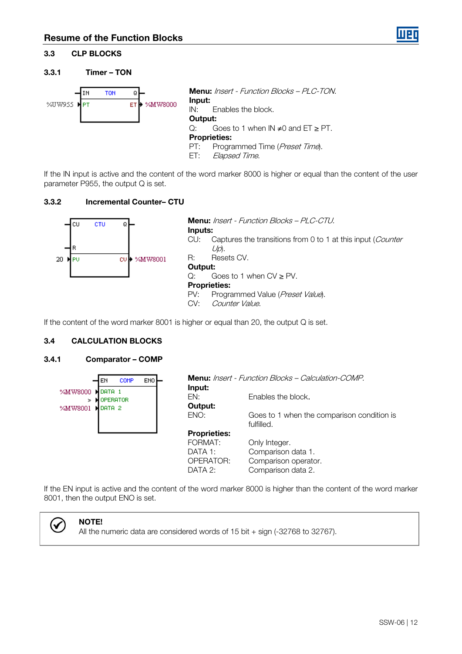#### 3.3 CLP BLOCKS

#### 3.3.1 Timer – TON



If the IN input is active and the content of the word marker 8000 is higher or equal than the content of the user parameter P955, the output Q is set.

#### 3.3.2 Incremental Counter– CTU



If the content of the word marker 8001 is higher or equal than 20, the output Q is set.

#### 3.4 CALCULATION BLOCKS

#### 3.4.1 Comparator – COMP

| <b>COMP</b><br>ENO<br>EN                                       | Input:              | <b>Menu:</b> Insert - Function Blocks – Calculation-COMP. |
|----------------------------------------------------------------|---------------------|-----------------------------------------------------------|
| %MW8000<br>DATA 1<br><b>OPERATOR</b><br>⋗<br>DATA 2<br>%MW8001 | FN:<br>Output:      | Enables the block.                                        |
|                                                                | ENO:                | Goes to 1 when the comparison condition is<br>fulfilled.  |
|                                                                | <b>Proprieties:</b> |                                                           |
|                                                                | FORMAT:             | Only Integer.                                             |
|                                                                | DATA 1:             | Comparison data 1.                                        |
|                                                                | OPERATOR:           | Comparison operator.                                      |
|                                                                | DATA 2:             | Comparison data 2.                                        |

If the EN input is active and the content of the word marker 8000 is higher than the content of the word marker 8001, then the output ENO is set.



#### NOTE!

All the numeric data are considered words of 15 bit + sign (-32768 to 32767).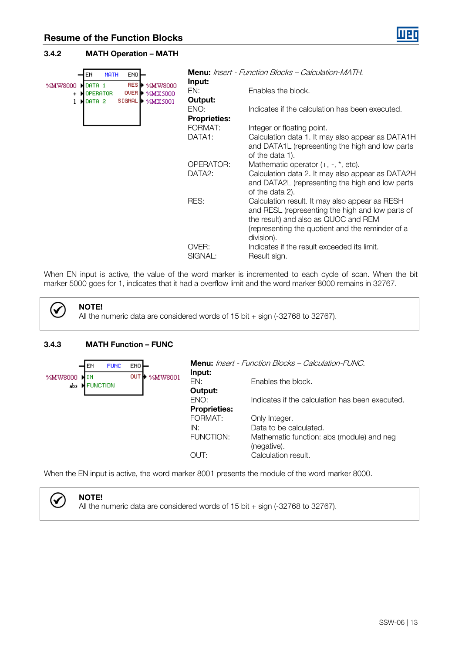#### 3.4.2 MATH Operation – MATH

| <b>MATH</b><br>ENO <sup>L</sup><br>EN                                              | Input:              | Menu: Insert - Function Blocks - Calculation-MATH.                                                                                                                                                           |
|------------------------------------------------------------------------------------|---------------------|--------------------------------------------------------------------------------------------------------------------------------------------------------------------------------------------------------------|
| RESH≻<br>%MW8000<br>%MW8000<br>DATA 1<br>OVER <b>N</b><br>%MX5000<br>OPERATOR<br>+ | EN:                 | Enables the block.                                                                                                                                                                                           |
| SIGNAL <sup>1</sup><br>%MX5001<br>DATA 2                                           | Output:<br>ENO:     | Indicates if the calculation has been executed.                                                                                                                                                              |
|                                                                                    | <b>Proprieties:</b> |                                                                                                                                                                                                              |
|                                                                                    | FORMAT:             | Integer or floating point.                                                                                                                                                                                   |
|                                                                                    | DATA1:              | Calculation data 1. It may also appear as DATA1H<br>and DATA1L (representing the high and low parts                                                                                                          |
|                                                                                    |                     | of the data 1).                                                                                                                                                                                              |
|                                                                                    | OPERATOR:           | Mathematic operator $(+, -, *, etc)$ .                                                                                                                                                                       |
|                                                                                    | DATA <sub>2</sub> : | Calculation data 2. It may also appear as DATA2H                                                                                                                                                             |
|                                                                                    |                     | and DATA2L (representing the high and low parts<br>of the data 2).                                                                                                                                           |
|                                                                                    | RES:                | Calculation result. It may also appear as RESH<br>and RESL (representing the high and low parts of<br>the result) and also as QUOC and REM<br>(representing the quotient and the reminder of a<br>division). |
|                                                                                    | OVER:<br>SIGNAL:    | Indicates if the result exceeded its limit.<br>Result sign.                                                                                                                                                  |

When EN input is active, the value of the word marker is incremented to each cycle of scan. When the bit marker 5000 goes for 1, indicates that it had a overflow limit and the word marker 8000 remains in 32767.



NOTE!

All the numeric data are considered words of 15 bit + sign (-32768 to 32767).

#### 3.4.3 MATH Function – FUNC

|         | <b>FUNC</b><br>EN | ENO <sup>L</sup> | Input:                      | <b>Menu:</b> Insert - Function Blocks – Calculation-FUNC. |
|---------|-------------------|------------------|-----------------------------|-----------------------------------------------------------|
| %MW8000 | abs M FUNCTION    | OUT<br>%MW8001   | EN:<br>Output:              | Enables the block.                                        |
|         |                   |                  | ENO:<br><b>Proprieties:</b> | Indicates if the calculation has been executed.           |
|         |                   |                  | FORMAT:                     | Only Integer.                                             |
|         |                   |                  | IN:                         | Data to be calculated.                                    |
|         |                   |                  | FUNCTION:                   | Mathematic function: abs (module) and neg<br>(negative).  |
|         |                   |                  | OUT:                        | Calculation result.                                       |

When the EN input is active, the word marker 8001 presents the module of the word marker 8000.



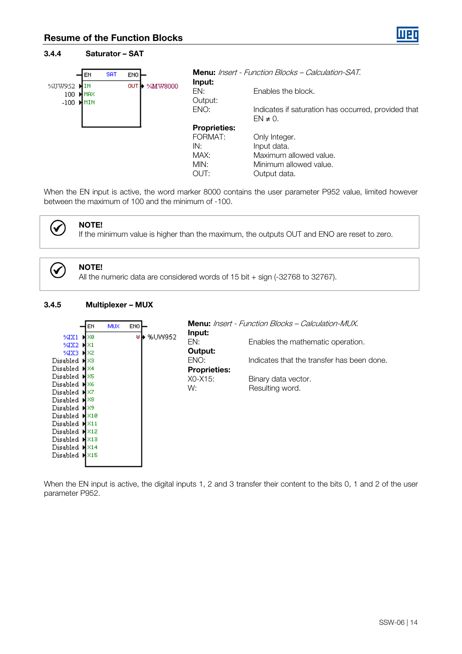| 3.4.4         |                            |            | <b>Saturator - SAT</b>    |                          |                                                                      |
|---------------|----------------------------|------------|---------------------------|--------------------------|----------------------------------------------------------------------|
|               | EN                         | <b>SAT</b> | ENO <sup>1</sup>          |                          | <b>Menu:</b> Insert - Function Blocks – Calculation-SAT.             |
| %UW952<br>100 | ΙN<br><b>M</b> MAX<br>MMIN |            | OUT <b>I</b> n<br>%MW8000 | Input:<br>EN:<br>Output: | Enables the block.                                                   |
| $-100$        |                            |            |                           | ENO:                     | Indicates if saturation has occurred, provided that<br>$EN \neq 0$ . |
|               |                            |            |                           | <b>Proprieties:</b>      |                                                                      |
|               |                            |            |                           | FORMAT:                  | Only Integer.                                                        |
|               |                            |            |                           | IN:                      | Input data.                                                          |
|               |                            |            |                           | MAX:                     | Maximum allowed value.                                               |
|               |                            |            |                           | MIN:                     | Minimum allowed value.                                               |
|               |                            |            |                           | OUT:                     | Output data.                                                         |

When the EN input is active, the word marker 8000 contains the user parameter P952 value, limited however between the maximum of 100 and the minimum of -100.

(√

 $\checkmark$ 

If the minimum value is higher than the maximum, the outputs OUT and ENO are reset to zero.

NOTE!

NOTE! All the numeric data are considered words of 15 bit + sign (-32768 to 32767).

#### 3.4.5 Multiplexer – MUX



When the EN input is active, the digital inputs 1, 2 and 3 transfer their content to the bits 0, 1 and 2 of the user parameter P952.

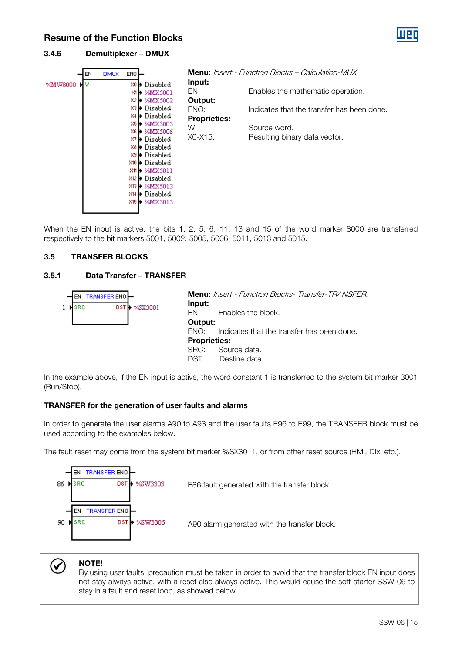#### 3.4.6 Demultiplexer – DMUX



When the EN input is active, the bits 1, 2, 5, 6, 11, 13 and 15 of the word marker 8000 are transferred respectively to the bit markers 5001, 5002, 5005, 5006, 5011, 5013 and 5015.

#### 3.5 TRANSFER BLOCKS

#### 3.5.1 Data Transfer – TRANSFER



In the example above, if the EN input is active, the word constant 1 is transferred to the system bit marker 3001 (Run/Stop).

#### TRANSFER for the generation of user faults and alarms

In order to generate the user alarms A90 to A93 and the user faults E96 to E99, the TRANSFER block must be used according to the examples below.

The fault reset may come from the system bit marker %SX3011, or from other reset source (HMI, DIx, etc.).





#### NOTE!

By using user faults, precaution must be taken in order to avoid that the transfer block EN input does not stay always active, with a reset also always active. This would cause the soft-starter SSW-06 to stay in a fault and reset loop, as showed below.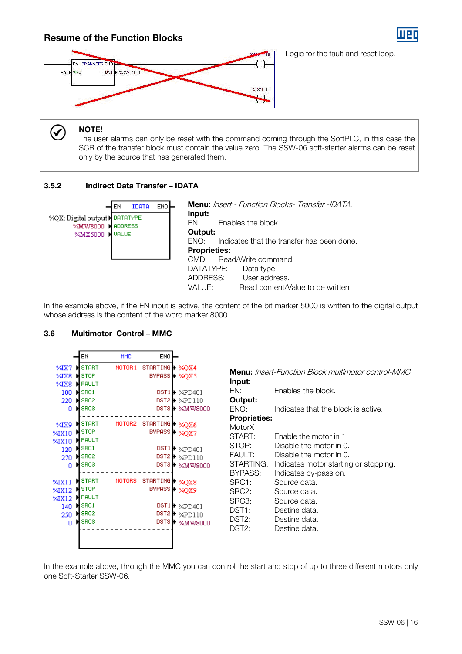#### Resume of the Function Blocks



Logic for the fault and reset loop.

#### NOTE!

(√

The user alarms can only be reset with the command coming through the SoftPLC, in this case the SCR of the transfer block must contain the value zero. The SSW-06 soft-starter alarms can be reset only by the source that has generated them.

#### 3.5.2 Indirect Data Transfer – IDATA



In the example above, if the EN input is active, the content of the bit marker 5000 is written to the digital output whose address is the content of the word marker 8000.

#### 3.6 Multimotor Control – MMC

| MOTOR <sub>1</sub><br><b>START</b><br>%IX7<br>%IX8<br><b>STOP</b><br>н<br>%IX8<br><b>N</b> FAULT<br>100<br><b>N</b> SRC1<br>220<br><b>ISRC2</b><br>ы                                                                                                                                                           | STARTING > %QX4<br>BYPASS > %QX5<br>$DST1$ $\rightarrow$ $\mathcal{C}PD401$<br>$DST2$ $\rightarrow$ $\%PDI10$                                                                                                                                                        | Input:<br>EN:                                                                                                                                                                          | <b>Menu:</b> Insert-Function Block multimotor control-MMC<br>Enables the block.                                                                                                                                                                   |
|----------------------------------------------------------------------------------------------------------------------------------------------------------------------------------------------------------------------------------------------------------------------------------------------------------------|----------------------------------------------------------------------------------------------------------------------------------------------------------------------------------------------------------------------------------------------------------------------|----------------------------------------------------------------------------------------------------------------------------------------------------------------------------------------|---------------------------------------------------------------------------------------------------------------------------------------------------------------------------------------------------------------------------------------------------|
|                                                                                                                                                                                                                                                                                                                |                                                                                                                                                                                                                                                                      |                                                                                                                                                                                        |                                                                                                                                                                                                                                                   |
| <b>N</b> SRCS<br>0                                                                                                                                                                                                                                                                                             | DST3 + %MW8000                                                                                                                                                                                                                                                       | Output:<br>ENO:                                                                                                                                                                        | Indicates that the block is active.                                                                                                                                                                                                               |
| <b>START</b><br>MOTOR2<br>%IX9<br>STOP<br>%IX10<br><b>FAULT</b><br>%IX10<br>SRC <sub>1</sub><br>120<br>SRC <sub>2</sub><br>н<br>270<br>SRC3<br>o<br><b>START</b><br>MOTOR <sub>3</sub><br>%IX11<br>STOP<br>%IX12<br><b>FAULT</b><br>%IX12<br>SRC1<br>н<br>140<br>SRC <sub>2</sub><br>250<br><b>H</b> SRC3<br>0 | STARTING <b>D</b><br>%QX6<br><b>BYPASS</b> De<br>%QX7<br>DST1 <sup>1</sup><br>%PD401<br>DST2<br>%PD110<br>DST3 D<br>%MW8000<br>STARTING <b>D</b><br>%QX8<br><b>BYPASS D</b><br>%QX9<br>DST1 <sup>1</sup><br>%PD401<br>DST2<br>%PD110<br>DST3 <sup>1</sup><br>%MW8000 | <b>Proprieties:</b><br><b>MotorX</b><br>START:<br>STOP:<br>FAULT:<br>STARTING:<br>BYPASS:<br>SRC1:<br>SRC2:<br>SRC3:<br>DST <sub>1</sub> :<br>DST <sub>2</sub> :<br>DST <sub>2</sub> : | Enable the motor in 1.<br>Disable the motor in 0.<br>Disable the motor in 0.<br>Indicates motor starting or stopping.<br>Indicates by-pass on.<br>Source data.<br>Source data.<br>Source data.<br>Destine data.<br>Destine data.<br>Destine data. |

In the example above, through the MMC you can control the start and stop of up to three different motors only one Soft-Starter SSW-06.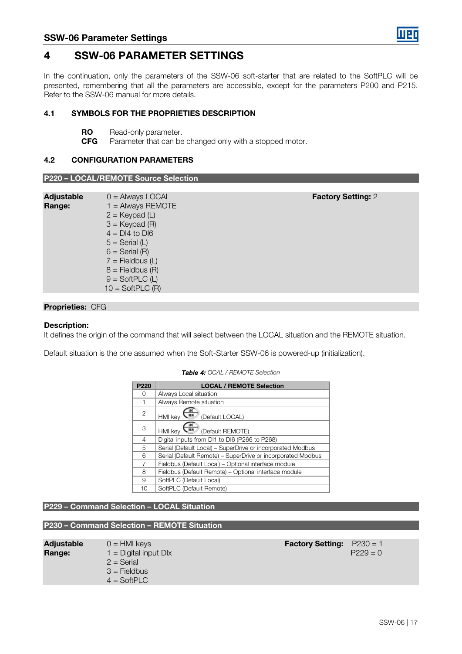

### 4 SSW-06 PARAMETER SETTINGS

In the continuation, only the parameters of the SSW-06 soft-starter that are related to the SoftPLC will be presented, remembering that all the parameters are accessible, except for the parameters P200 and P215. Refer to the SSW-06 manual for more details.

#### 4.1 SYMBOLS FOR THE PROPRIETIES DESCRIPTION

- **RO** Read-only parameter.
- **CFG** Parameter that can be changed only with a stopped motor.

#### 4.2 CONFIGURATION PARAMETERS P220 – LOCAL/REMOTE Source Selection

|                             | <u> FZZU – LUCAL/REMUTE SOURCE SEIECHON</u>                                                                                                                                                                                            |                           |
|-----------------------------|----------------------------------------------------------------------------------------------------------------------------------------------------------------------------------------------------------------------------------------|---------------------------|
|                             |                                                                                                                                                                                                                                        |                           |
| <b>Adjustable</b><br>Range: | $0 =$ Always LOCAL<br>$1 =$ Always REMOTE<br>$2 =$ Keypad (L)<br>$3 =$ Keypad (R)<br>$4 = D14$ to DI6<br>$5 =$ Serial (L)<br>$6 =$ Serial $(R)$<br>$7 =$ Fieldbus (L)<br>$8 =$ Fieldbus (R)<br>$9 = SoftPLC (L)$<br>$10 = SoftPLC (R)$ | <b>Factory Setting: 2</b> |

#### Proprieties: CFG

#### Description:

It defines the origin of the command that will select between the LOCAL situation and the REMOTE situation.

Default situation is the one assumed when the Soft-Starter SSW-06 is powered-up (initialization).

| P <sub>220</sub> | <b>LOCAL / REMOTE Selection</b>                             |
|------------------|-------------------------------------------------------------|
| ∩                | Always Local situation                                      |
|                  | Always Remote situation                                     |
| 2                | (Default LOCAL)<br><b>HMI</b> key                           |
| 3                | (Default REMOTE)<br><b>HMI</b> kev                          |
| 4                | Digital inputs from DI1 to DI6 (P266 to P268)               |
| 5                | Serial (Default Local) - SuperDrive or incorporated Modbus  |
| 6                | Serial (Default Remote) - SuperDrive or incorporated Modbus |
| 7                | Fieldbus (Default Local) - Optional interface module        |
| 8                | Fieldbus (Default Remote) - Optional interface module       |
| 9                | SoftPLC (Default Local)                                     |
| 10               | SoftPLC (Default Remote)                                    |

#### Table 4: OCAL / REMOTE Selection

#### P229 – Command Selection – LOCAL Situation

#### P230 – Command Selection – REMOTE Situation

| <b>Adjustable</b><br>Range: | $0 = HM$ keys<br>$1 =$ Digital input DIx<br>$2 =$ Serial<br>$3 =$ Fieldbus<br>$4 = SoftPLC$ | <b>Factory Setting:</b> | $P230 = 1$<br>$P229 = 0$ |
|-----------------------------|---------------------------------------------------------------------------------------------|-------------------------|--------------------------|
|                             |                                                                                             |                         |                          |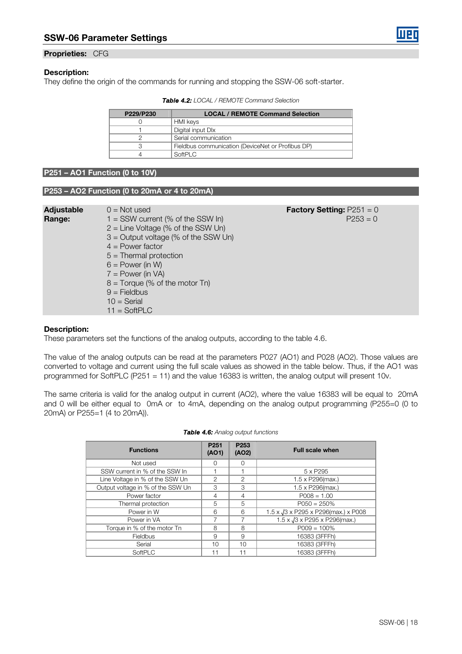

#### Description:

They define the origin of the commands for running and stopping the SSW-06 soft-starter.

| <b>Table 4.2:</b> LOCAL / REMOTE Command Selection |  |
|----------------------------------------------------|--|
|----------------------------------------------------|--|

| P229/P230 | <b>LOCAL / REMOTE Command Selection</b>           |
|-----------|---------------------------------------------------|
|           | HMI keys                                          |
|           | Digital input DIx                                 |
|           | Serial communication                              |
|           | Fieldbus communication (DeviceNet or Profibus DP) |
|           | SoftPIC                                           |

#### P251 – AO1 Function (0 to 10V)

#### P253 – AO2 Function (0 to 20mA or 4 to 20mA)

| $P253 = 0$<br>$1 =$ SSW current (% of the SSW In)<br>Range:<br>$2 =$ Line Voltage (% of the SSW Un)<br>$3$ = Output voltage (% of the SSW Un)<br>$4 = Power factor$<br>$5 =$ Thermal protection<br>$6 = Power (in W)$<br>$7 = Power (in VA)$<br>$8 =$ Torque (% of the motor Tn)<br>$9 =$ Fieldbus<br>$10 =$ Serial<br>$11 = SoftPLC$ | <b>Adjustable</b> | $0 = Not used$ | <b>Factory Setting:</b> $P251 = 0$ |
|---------------------------------------------------------------------------------------------------------------------------------------------------------------------------------------------------------------------------------------------------------------------------------------------------------------------------------------|-------------------|----------------|------------------------------------|
|---------------------------------------------------------------------------------------------------------------------------------------------------------------------------------------------------------------------------------------------------------------------------------------------------------------------------------------|-------------------|----------------|------------------------------------|

#### Description:

These parameters set the functions of the analog outputs, according to the table 4.6.

The value of the analog outputs can be read at the parameters P027 (AO1) and P028 (AO2). Those values are converted to voltage and current using the full scale values as showed in the table below. Thus, if the AO1 was programmed for SoftPLC (P251 = 11) and the value 16383 is written, the analog output will present 10v.

The same criteria is valid for the analog output in current (AO2), where the value 16383 will be equal to 20mA and 0 will be either equal to 0mA or to 4mA, depending on the analog output programming (P255=0 (0 to 20mA) or P255=1 (4 to 20mA)).

| <b>Functions</b>                  | P <sub>251</sub><br>(AO1) | P <sub>253</sub><br>(AO2) | <b>Full scale when</b>                                |
|-----------------------------------|---------------------------|---------------------------|-------------------------------------------------------|
| Not used                          | ∩                         | ∩                         |                                                       |
| SSW current in % of the SSW In    |                           |                           | 5 x P295                                              |
| Line Voltage in % of the SSW Un   | $\mathcal{P}$             | $\mathcal{P}$             | $1.5 \times P296$ (max.)                              |
| Output voltage in % of the SSW Un | 3                         | 3                         | 1.5 x P296(max.)                                      |
| Power factor                      | 4                         | 4                         | $PO08 = 1.00$                                         |
| Thermal protection                | 5                         | 5                         | $P050 = 250\%$                                        |
| Power in W                        | 6                         | 6                         | $1.5 \times \sqrt{3} \times$ P295 x P296(max.) x P008 |
| Power in VA                       | ⇁                         | ⇁                         | 1.5 x $\sqrt{3}$ x P295 x P296(max.)                  |
| Torque in % of the motor Tn       | 8                         | 8                         | $PO09 = 100\%$                                        |
| Fieldbus                          | 9                         | 9                         | 16383 (3FFFh)                                         |
| Serial                            | 10                        | 10                        | 16383 (3FFFh)                                         |
| SoftPLC                           |                           | 11                        | 16383 (3FFFh)                                         |

| <b>Table 4.6:</b> Analog output functions |  |
|-------------------------------------------|--|
|                                           |  |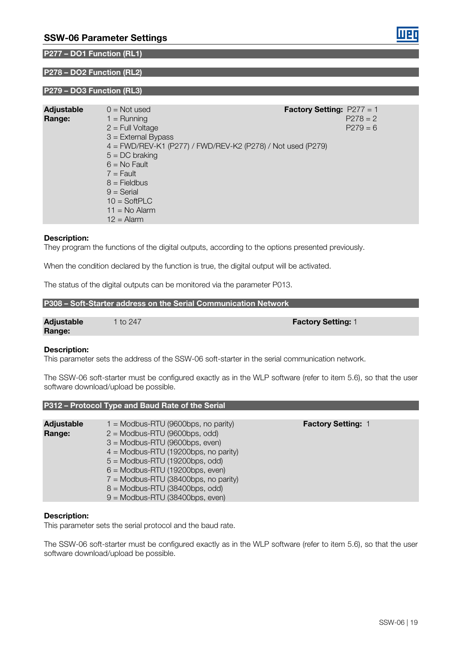#### P277 – DO1 Function (RL1)

#### P278 – DO2 Function (RL2)

#### P279 – DO3 Function (RL3)

| <b>Adjustable</b><br>Range: | $0 = Not used$<br>$1 =$ Running<br>$2$ = Full Voltage<br>$3$ = External Bypass | <b>Factory Setting:</b> $P277 = 1$<br>$P278 = 2$<br>$P279 = 6$ |
|-----------------------------|--------------------------------------------------------------------------------|----------------------------------------------------------------|
|                             | 4 = FWD/REV-K1 (P277) / FWD/REV-K2 (P278) / Not used (P279)                    |                                                                |
|                             | $5 = DC$ braking                                                               |                                                                |
|                             | $6 = No$ Fault                                                                 |                                                                |
|                             | $7 =$ Fault                                                                    |                                                                |
|                             | $8 =$ Fieldbus                                                                 |                                                                |
|                             | $9 =$ Serial<br>$10 = SoftPLC$                                                 |                                                                |
|                             | $11 = No$ Alarm                                                                |                                                                |
|                             | $12$ = Alarm                                                                   |                                                                |
|                             |                                                                                |                                                                |

#### Description:

They program the functions of the digital outputs, according to the options presented previously.

When the condition declared by the function is true, the digital output will be activated.

The status of the digital outputs can be monitored via the parameter P013.

| P308 – Soft-Starter address on the Serial Communication Network |  |
|-----------------------------------------------------------------|--|
|                                                                 |  |

P312 – Protocol Type and Baud Rate of the Serial

| <b>Adjustable</b> | 1 to 247 | <b>Factory Setting: 1</b> |
|-------------------|----------|---------------------------|
| Range:            |          |                           |

#### Description:

This parameter sets the address of the SSW-06 soft-starter in the serial communication network.

The SSW-06 soft-starter must be configured exactly as in the WLP software (refer to item 5.6), so that the user software download/upload be possible.

| <b>Adjustable</b> | $1 =$ Modbus-RTU (9600bps, no parity)  | <b>Factory Setting: 1</b> |
|-------------------|----------------------------------------|---------------------------|
| Range:            | $2 =$ Modbus-RTU (9600bps, odd)        |                           |
|                   | $3 =$ Modbus-RTU (9600bps, even)       |                           |
|                   | $4 =$ Modbus-RTU (19200bps, no parity) |                           |
|                   | $5 =$ Modbus-RTU (19200bps, odd)       |                           |
|                   | $6 =$ Modbus-RTU (19200bps, even)      |                           |
|                   | $7 =$ Modbus-RTU (38400bps, no parity) |                           |
|                   | $8 =$ Modbus-RTU (38400bps, odd)       |                           |
|                   | $9 =$ Modbus-RTU (38400bps, even)      |                           |

#### Description:

This parameter sets the serial protocol and the baud rate.

The SSW-06 soft-starter must be configured exactly as in the WLP software (refer to item 5.6), so that the user software download/upload be possible.

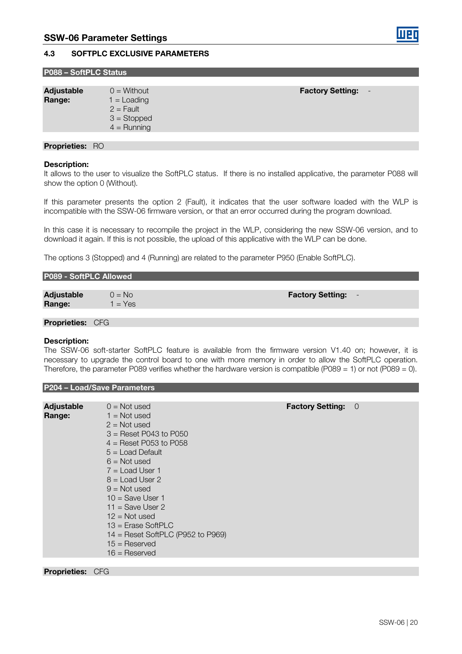#### 4.3 SOFTPLC EXCLUSIVE PARAMETERS

| P088 – SoftPLC Status |
|-----------------------|
|-----------------------|

| <b>Adjustable</b> | $0 =$ Without                                 | <b>Factory Setting:</b> |
|-------------------|-----------------------------------------------|-------------------------|
| Range:            | $1 =$ Loading<br>$2 =$ Fault<br>$3 =$ Stopped |                         |
|                   | $4 =$ Running                                 |                         |
|                   |                                               |                         |

#### Proprieties: RO

#### Description:

It allows to the user to visualize the SoftPLC status. If there is no installed applicative, the parameter P088 will show the option 0 (Without).

If this parameter presents the option 2 (Fault), it indicates that the user software loaded with the WLP is incompatible with the SSW-06 firmware version, or that an error occurred during the program download.

In this case it is necessary to recompile the project in the WLP, considering the new SSW-06 version, and to download it again. If this is not possible, the upload of this applicative with the WLP can be done.

The options 3 (Stopped) and 4 (Running) are related to the parameter P950 (Enable SoftPLC).

| P089 - SoftPLC Allowed |           |                         |  |
|------------------------|-----------|-------------------------|--|
|                        |           |                         |  |
| <b>Adjustable</b>      | $0 = No$  | <b>Factory Setting:</b> |  |
| Range:                 | $1 = Yes$ |                         |  |
|                        |           |                         |  |

Proprieties: CFG

#### Description:

The SSW-06 soft-starter SoftPLC feature is available from the firmware version V1.40 on; however, it is necessary to upgrade the control board to one with more memory in order to allow the SoftPLC operation. Therefore, the parameter P089 verifies whether the hardware version is compatible (P089 = 1) or not (P089 = 0).

|                             | <b>P204 - Load/Save Parameters</b>                                                                                                                                                                                                                                                                                                                                                 |                         |    |
|-----------------------------|------------------------------------------------------------------------------------------------------------------------------------------------------------------------------------------------------------------------------------------------------------------------------------------------------------------------------------------------------------------------------------|-------------------------|----|
|                             |                                                                                                                                                                                                                                                                                                                                                                                    |                         |    |
| <b>Adjustable</b><br>Range: | $0 = Not used$<br>$1 = Not used$<br>$2 = Not used$<br>$3 =$ Reset P043 to P050<br>$4 =$ Reset P053 to P058<br>$5 =$ Load Default<br>$6 = Not used$<br>$7 =$ Load User 1<br>$8 =$ Load User 2<br>$9 = Not used$<br>$10 =$ Save User 1<br>$11 =$ Save User 2<br>$12 = Not used$<br>$13$ = Erase SoftPLC<br>$14$ = Reset SoftPLC (P952 to P969)<br>$15 =$ Reserved<br>$16 =$ Reserved | <b>Factory Setting:</b> | -0 |
| .                           | $\cap$                                                                                                                                                                                                                                                                                                                                                                             |                         |    |

Proprieties: CFG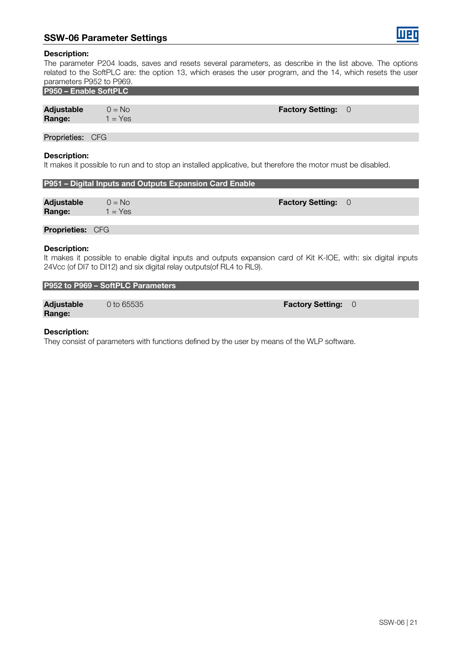#### SSW-06 Parameter Settings



#### Description:

The parameter P204 loads, saves and resets several parameters, as describe in the list above. The options related to the SoftPLC are: the option 13, which erases the user program, and the 14, which resets the user parameters P952 to P969.

|  | P950 - Enable SoftPLC |
|--|-----------------------|

| Adjustable | $0 = No$  | <b>Factory Setting: 0</b> |  |
|------------|-----------|---------------------------|--|
| Range:     | $1 = Yes$ |                           |  |
|            |           |                           |  |

Proprieties: CFG

#### Description:

It makes it possible to run and to stop an installed applicative, but therefore the motor must be disabled.

| P951 - Digital Inputs and Outputs Expansion Card Enable |                                                                                                                                                                                          |                         |                |
|---------------------------------------------------------|------------------------------------------------------------------------------------------------------------------------------------------------------------------------------------------|-------------------------|----------------|
| <b>Adjustable</b><br>Range:                             | $0 = No$<br>$1 = Yes$                                                                                                                                                                    | <b>Factory Setting:</b> | $\overline{0}$ |
| <b>Proprieties: CFG</b>                                 |                                                                                                                                                                                          |                         |                |
| <b>Description:</b>                                     | It makes it possible to enable digital inputs and outputs expansion card of Kit K-IOE, with: six digital inputs<br>24Vcc (of DI7 to DI12) and six digital relay outputs (of RL4 to RL9). |                         |                |

#### P952 to P969 – SoftPLC Parameters

Adjustable 0 to 65535 **and 1 and 1 and 1 and 1 and 1 and 1 and 1 and 1 and 1 and 1 and 1 and 1 and 1 and 1 and 1 and 1 and 1 and 1 and 1 and 1 and 1 and 1 and 1 and 1 and 1 and 1 and 1 and 1 and 1 and 1 and 1 and 1 and 1 a** Range:

#### Description:

They consist of parameters with functions defined by the user by means of the WLP software.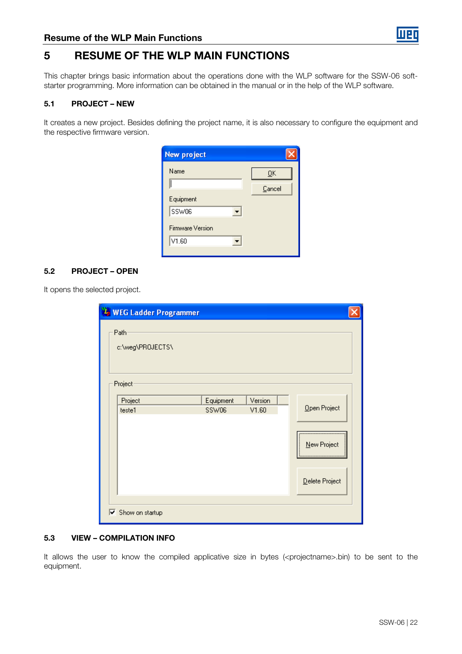## 5 RESUME OF THE WLP MAIN FUNCTIONS

This chapter brings basic information about the operations done with the WLP software for the SSW-06 softstarter programming. More information can be obtained in the manual or in the help of the WLP software.

#### 5.1 PROJECT – NEW

It creates a new project. Besides defining the project name, it is also necessary to configure the equipment and the respective firmware version.

| <b>New project</b>      |        |
|-------------------------|--------|
| Name                    | QK     |
|                         | Cancel |
| Equipment               |        |
| SSW06                   |        |
| <b>Firmware Version</b> |        |
| V1.60                   |        |
|                         |        |

#### 5.2 PROJECT – OPEN

It opens the selected project.

| <b>WEG Ladder Programmer</b>               |           |         |                 |  |
|--------------------------------------------|-----------|---------|-----------------|--|
| Path<br>c:\weg\PROJECTS\                   |           |         |                 |  |
| Project                                    |           |         |                 |  |
| Project                                    | Equipment | Version |                 |  |
| teste1                                     | SSW06     | V1.60   | Open Project    |  |
|                                            |           |         | <br>New Project |  |
|                                            |           |         | Delete Project  |  |
| $\overline{\triangledown}$ Show on startup |           |         |                 |  |

#### 5.3 VIEW – COMPILATION INFO

It allows the user to know the compiled applicative size in bytes (<projectname>.bin) to be sent to the equipment.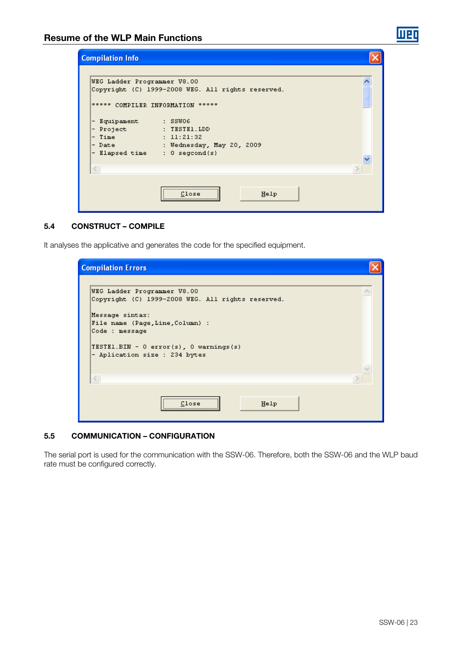| <b>Compilation Info</b>                                                                                                                                   |                                                                                                                                                 |  |
|-----------------------------------------------------------------------------------------------------------------------------------------------------------|-------------------------------------------------------------------------------------------------------------------------------------------------|--|
| WEG Ladder Programmer V8.00<br>***** COMPILER INFORMATION *****<br>- Equipament : SSW06<br>- Project<br>- Time<br>- Date<br>- Elapsed time : 0 segcond(s) | Copyright (C) 1999-2008 WEG. All rights reserved.<br><b>Example:</b> TESTE1.LDD<br>11:21:32<br>and the Communication of Mednesday, May 20, 2009 |  |
| $\leq$                                                                                                                                                    | Help<br>Close                                                                                                                                   |  |

#### 5.4 CONSTRUCT – COMPILE

It analyses the applicative and generates the code for the specified equipment.

| <b>Compilation Errors</b>                                                                                                                                                                                 |  |
|-----------------------------------------------------------------------------------------------------------------------------------------------------------------------------------------------------------|--|
| WEG Ladder Programmer V8.00                                                                                                                                                                               |  |
| Copyright (C) 1999-2008 WEG. All rights reserved.<br>Message sintax:<br>File name (Page, Line, Column) :<br>Code : message<br>TESTEL.BIN - $0$ error(s), $0$ warnings(s)<br>- Aplication size : 234 bytes |  |
| $\,<$                                                                                                                                                                                                     |  |
| Help<br>Close                                                                                                                                                                                             |  |

#### 5.5 COMMUNICATION – CONFIGURATION

The serial port is used for the communication with the SSW-06. Therefore, both the SSW-06 and the WLP baud rate must be configured correctly.